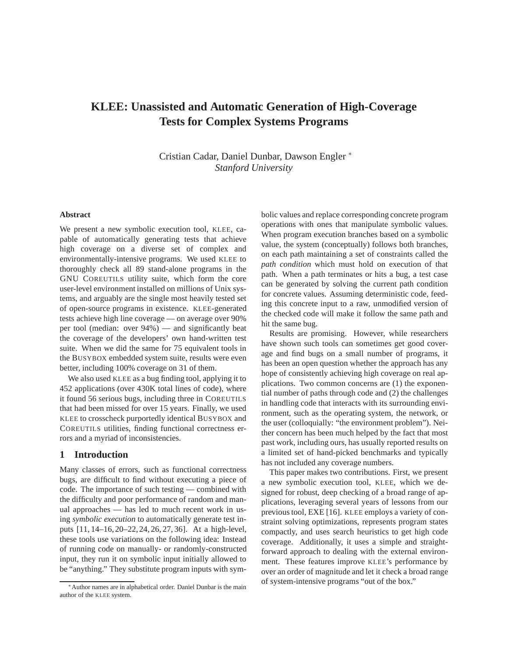# **KLEE: Unassisted and Automatic Generation of High-Coverage Tests for Complex Systems Programs**

Cristian Cadar, Daniel Dunbar, Dawson Engler <sup>∗</sup> *Stanford University*

## **Abstract**

We present a new symbolic execution tool, KLEE, capable of automatically generating tests that achieve high coverage on a diverse set of complex and environmentally-intensive programs. We used KLEE to thoroughly check all 89 stand-alone programs in the GNU COREUTILS utility suite, which form the core user-level environment installed on millions of Unix systems, and arguably are the single most heavily tested set of open-source programs in existence. KLEE-generated tests achieve high line coverage — on average over 90% per tool (median: over 94%) — and significantly beat the coverage of the developers' own hand-written test suite. When we did the same for 75 equivalent tools in the BUSYBOX embedded system suite, results were even better, including 100% coverage on 31 of them.

We also used KLEE as a bug finding tool, applying it to 452 applications (over 430K total lines of code), where it found 56 serious bugs, including three in COREUTILS that had been missed for over 15 years. Finally, we used KLEE to crosscheck purportedly identical BUSYBOX and COREUTILS utilities, finding functional correctness errors and a myriad of inconsistencies.

# **1 Introduction**

Many classes of errors, such as functional correctness bugs, are difficult to find without executing a piece of code. The importance of such testing — combined with the difficulty and poor performance of random and manual approaches — has led to much recent work in using *symbolic execution* to automatically generate test inputs [11, 14–16, 20–22, 24, 26, 27, 36]. At a high-level, these tools use variations on the following idea: Instead of running code on manually- or randomly-constructed input, they run it on symbolic input initially allowed to be "anything." They substitute program inputs with symbolic values and replace corresponding concrete program operations with ones that manipulate symbolic values. When program execution branches based on a symbolic value, the system (conceptually) follows both branches, on each path maintaining a set of constraints called the *path condition* which must hold on execution of that path. When a path terminates or hits a bug, a test case can be generated by solving the current path condition for concrete values. Assuming deterministic code, feeding this concrete input to a raw, unmodified version of the checked code will make it follow the same path and hit the same bug.

Results are promising. However, while researchers have shown such tools can sometimes get good coverage and find bugs on a small number of programs, it has been an open question whether the approach has any hope of consistently achieving high coverage on real applications. Two common concerns are (1) the exponential number of paths through code and (2) the challenges in handling code that interacts with its surrounding environment, such as the operating system, the network, or the user (colloquially: "the environment problem"). Neither concern has been much helped by the fact that most past work, including ours, has usually reported results on a limited set of hand-picked benchmarks and typically has not included any coverage numbers.

This paper makes two contributions. First, we present a new symbolic execution tool, KLEE, which we designed for robust, deep checking of a broad range of applications, leveraging several years of lessons from our previous tool, EXE [16]. KLEE employs a variety of constraint solving optimizations, represents program states compactly, and uses search heuristics to get high code coverage. Additionally, it uses a simple and straightforward approach to dealing with the external environment. These features improve KLEE's performance by over an order of magnitude and let it check a broad range of system-intensive programs "out of the box."

<sup>∗</sup>Author names are in alphabetical order. Daniel Dunbar is the main author of the KLEE system.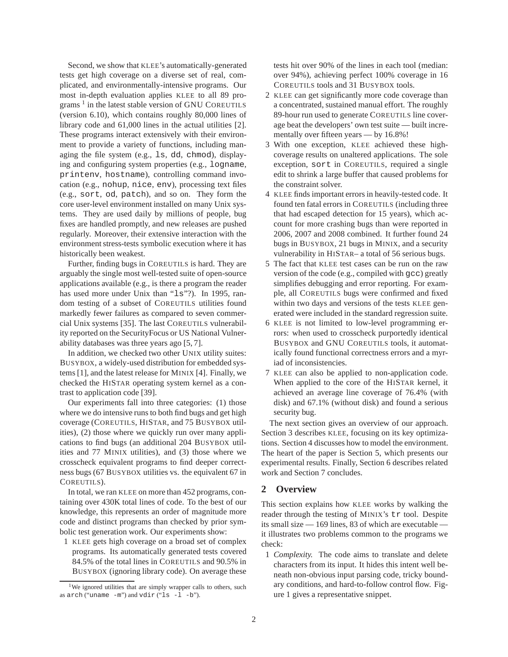Second, we show that KLEE's automatically-generated tests get high coverage on a diverse set of real, complicated, and environmentally-intensive programs. Our most in-depth evaluation applies KLEE to all 89 programs<sup>1</sup> in the latest stable version of GNU COREUTILS (version 6.10), which contains roughly 80,000 lines of library code and 61,000 lines in the actual utilities [2]. These programs interact extensively with their environment to provide a variety of functions, including managing the file system (e.g., ls, dd, chmod), displaying and configuring system properties (e.g., logname, printenv, hostname), controlling command invocation (e.g., nohup, nice, env), processing text files (e.g., sort, od, patch), and so on. They form the core user-level environment installed on many Unix systems. They are used daily by millions of people, bug fixes are handled promptly, and new releases are pushed regularly. Moreover, their extensive interaction with the environment stress-tests symbolic execution where it has historically been weakest.

Further, finding bugs in COREUTILS is hard. They are arguably the single most well-tested suite of open-source applications available (e.g., is there a program the reader has used more under Unix than "1s"?). In 1995, random testing of a subset of COREUTILS utilities found markedly fewer failures as compared to seven commercial Unix systems [35]. The last COREUTILS vulnerability reported on the SecurityFocus or US National Vulnerability databases was three years ago [5, 7].

In addition, we checked two other UNIX utility suites: BUSYBOX, a widely-used distribution for embedded systems [1], and the latest release for MINIX [4]. Finally, we checked the HISTAR operating system kernel as a contrast to application code [39].

Our experiments fall into three categories: (1) those where we do intensive runs to both find bugs and get high coverage (COREUTILS, HISTAR, and 75 BUSYBOX utilities), (2) those where we quickly run over many applications to find bugs (an additional 204 BUSYBOX utilities and 77 MINIX utilities), and (3) those where we crosscheck equivalent programs to find deeper correctness bugs (67 BUSYBOX utilities vs. the equivalent 67 in COREUTILS).

In total, we ran KLEE on more than 452 programs, containing over 430K total lines of code. To the best of our knowledge, this represents an order of magnitude more code and distinct programs than checked by prior symbolic test generation work. Our experiments show:

1 KLEE gets high coverage on a broad set of complex programs. Its automatically generated tests covered 84.5% of the total lines in COREUTILS and 90.5% in BUSYBOX (ignoring library code). On average these

tests hit over 90% of the lines in each tool (median: over 94%), achieving perfect 100% coverage in 16 COREUTILS tools and 31 BUSYBOX tools.

- 2 KLEE can get significantly more code coverage than a concentrated, sustained manual effort. The roughly 89-hour run used to generate COREUTILS line coverage beat the developers' own test suite — built incrementally over fifteen years — by 16.8%!
- 3 With one exception, KLEE achieved these highcoverage results on unaltered applications. The sole exception, sort in COREUTILS, required a single edit to shrink a large buffer that caused problems for the constraint solver.
- 4 KLEE finds important errors in heavily-tested code. It found ten fatal errors in COREUTILS (including three that had escaped detection for 15 years), which account for more crashing bugs than were reported in 2006, 2007 and 2008 combined. It further found 24 bugs in BUSYBOX, 21 bugs in MINIX, and a security vulnerability in HISTAR– a total of 56 serious bugs.
- 5 The fact that KLEE test cases can be run on the raw version of the code (e.g., compiled with gcc) greatly simplifies debugging and error reporting. For example, all COREUTILS bugs were confirmed and fixed within two days and versions of the tests KLEE generated were included in the standard regression suite.
- 6 KLEE is not limited to low-level programming errors: when used to crosscheck purportedly identical BUSYBOX and GNU COREUTILS tools, it automatically found functional correctness errors and a myriad of inconsistencies.
- 7 KLEE can also be applied to non-application code. When applied to the core of the HISTAR kernel, it achieved an average line coverage of 76.4% (with disk) and 67.1% (without disk) and found a serious security bug.

The next section gives an overview of our approach. Section 3 describes KLEE, focusing on its key optimizations. Section 4 discusses how to model the environment. The heart of the paper is Section 5, which presents our experimental results. Finally, Section 6 describes related work and Section 7 concludes.

# **2 Overview**

This section explains how KLEE works by walking the reader through the testing of MINIX's tr tool. Despite its small size — 169 lines, 83 of which are executable it illustrates two problems common to the programs we check:

1 *Complexity.* The code aims to translate and delete characters from its input. It hides this intent well beneath non-obvious input parsing code, tricky boundary conditions, and hard-to-follow control flow. Figure 1 gives a representative snippet.

<sup>&</sup>lt;sup>1</sup>We ignored utilities that are simply wrapper calls to others, such as  $arch$  ("uname  $-m$ ") and  $vdir$  (" $ls -l -b$ ").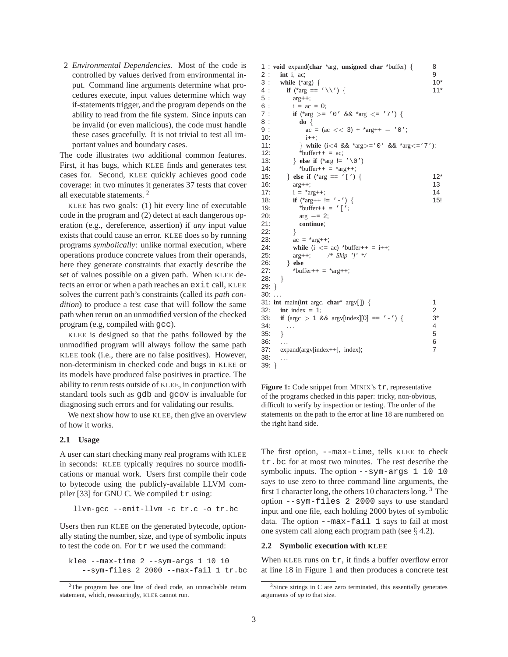2 *Environmental Dependencies.* Most of the code is controlled by values derived from environmental input. Command line arguments determine what procedures execute, input values determine which way if-statements trigger, and the program depends on the ability to read from the file system. Since inputs can be invalid (or even malicious), the code must handle these cases gracefully. It is not trivial to test all important values and boundary cases.

The code illustrates two additional common features. First, it has bugs, which KLEE finds and generates test cases for. Second, KLEE quickly achieves good code coverage: in two minutes it generates 37 tests that cover all executable statements. <sup>2</sup>

KLEE has two goals: (1) hit every line of executable code in the program and (2) detect at each dangerous operation (e.g., dereference, assertion) if *any* input value exists that could cause an error. KLEE does so by running programs *symbolically*: unlike normal execution, where operations produce concrete values from their operands, here they generate constraints that exactly describe the set of values possible on a given path. When KLEE detects an error or when a path reaches an exit call, KLEE solves the current path's constraints (called its *path condition*) to produce a test case that will follow the same path when rerun on an unmodified version of the checked program (e.g, compiled with gcc).

KLEE is designed so that the paths followed by the unmodified program will always follow the same path KLEE took (i.e., there are no false positives). However, non-determinism in checked code and bugs in KLEE or its models have produced false positives in practice. The ability to rerun tests outside of KLEE, in conjunction with standard tools such as gdb and gcov is invaluable for diagnosing such errors and for validating our results.

We next show how to use KLEE, then give an overview of how it works.

#### **2.1 Usage**

A user can start checking many real programs with KLEE in seconds: KLEE typically requires no source modifications or manual work. Users first compile their code to bytecode using the publicly-available LLVM compiler [33] for GNU C. We compiled  $tr$  using:

llvm-gcc --emit-llvm -c tr.c -o tr.bc

Users then run KLEE on the generated bytecode, optionally stating the number, size, and type of symbolic inputs to test the code on. For tr we used the command:

klee --max-time 2 --sym-args 1 10 10 --sym-files 2 2000 --max-fail 1 tr.bc

```
1 : void expand(char *arg, unsigned char *buffer) { 8
2 : int i, ac; 9<br>3 : while ({}^{*}arg) { (10^{*})
3 : while (*arg) { 10^*<br>4 : if (*arg == '\\') { 11^*if ({}^{\star}arg == {}^{\prime} \setminus \setminus {}^{\prime}) {
5 : arg++;
6 : i = ac = 0;<br>7 : \text{if } (*arg) = 0if (*arg >= '0' && *arg <= '7') {
8 : do {
9 : ac = (ac \lt\lt 3) + \cdot \text{arg}++ - \cdot 0';
10: i++;
11: } while (i < 4 \&amp; 4 \text{ arg} > 0' \&amp; 4 \text{ arg} < -7');
12: * \text{buffer++} = \text{ac};13: } else if (*arg := ' \setminus 0')<br>14: *{\text{buffer++}} = *{\text{arc++}}*buffer++ = *arg++;
15: } else if \binom{4}{10} == \binom{1}{1} { 12*<br>16: \arctan 11 13
16: \arg++; 13
17: i = \text{arg}++; 14
18: if (*arg++ != '-') { 15!
19: * \text{buffer++} = '[';
20: \arg = 2;21: continue;
22:23: ac = \pi arg++;24: while (i \le a) *buffer++ = i++;<br>25: \arg+1; /* Skip ']' */
         25: arg++; /* Skip ']' */
26: } else
27: * \text{buffer++} = * \text{arg++};28: }
29: }
30: ...31: int main(int argc, char* argv[ ]) { 1
32: int index = 1; 2
33: if (argc > 1 && argv[index][0] == '-') { 3<sup>*</sup>
34: . . . 4
35: } 5
36: . . . 6
37: expand(argv[index++], index); 7
38: . . .
39: }
```
Figure 1: Code snippet from MINIX's tr, representative of the programs checked in this paper: tricky, non-obvious, difficult to verify by inspection or testing. The order of the statements on the path to the error at line 18 are numbered on the right hand side.

The first option, --max-time, tells KLEE to check tr.bc for at most two minutes. The rest describe the symbolic inputs. The option --sym-args 1 10 10 says to use zero to three command line arguments, the first 1 character long, the others 10 characters long. <sup>3</sup> The option --sym-files 2 2000 says to use standard input and one file, each holding 2000 bytes of symbolic data. The option --max-fail 1 says to fail at most one system call along each program path (see § 4.2).

#### **2.2 Symbolic execution with KLEE**

When KLEE runs on  $tr$ , it finds a buffer overflow error at line 18 in Figure 1 and then produces a concrete test

<sup>&</sup>lt;sup>2</sup>The program has one line of dead code, an unreachable return statement, which, reassuringly, KLEE cannot run.

 $3$ Since strings in C are zero terminated, this essentially generates arguments of *up to* that size.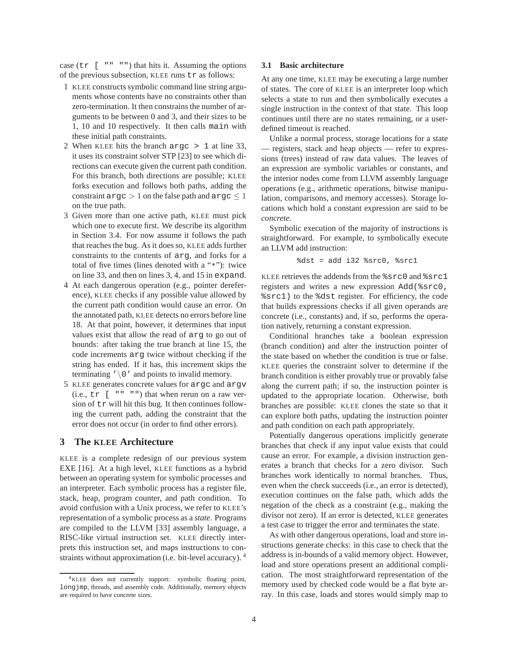case  $(\text{tr} \ \vert \ \vert \ \vert \ \vert \ \vert \ \vert \ \vert \ \vert \ \vert \ \vert \ \vert \ \vert \ \rangle$  that hits it. Assuming the options of the previous subsection, KLEE runs tr as follows:

- 1 KLEE constructs symbolic command line string arguments whose contents have no constraints other than zero-termination. It then constrains the number of arguments to be between 0 and 3, and their sizes to be 1, 10 and 10 respectively. It then calls main with these initial path constraints.
- 2 When KLEE hits the branch argc > 1 at line 33, it uses its constraint solver STP [23] to see which directions can execute given the current path condition. For this branch, both directions are possible; KLEE forks execution and follows both paths, adding the constraint argc  $> 1$  on the false path and argc  $\leq 1$ on the true path.
- 3 Given more than one active path, KLEE must pick which one to execute first. We describe its algorithm in Section 3.4. For now assume it follows the path that reaches the bug. As it does so, KLEE adds further constraints to the contents of arg, and forks for a total of five times (lines denoted with a "\*"): twice on line 33, and then on lines 3, 4, and 15 in expand.
- 4 At each dangerous operation (e.g., pointer dereference), KLEE checks if any possible value allowed by the current path condition would cause an error. On the annotated path, KLEE detects no errors before line 18. At that point, however, it determines that input values exist that allow the read of arg to go out of bounds: after taking the true branch at line 15, the code increments arg twice without checking if the string has ended. If it has, this increment skips the terminating  $\prime \setminus 0$  ' and points to invalid memory.
- 5 KLEE generates concrete values for argc and argv (i.e.,  $tr$  [  $" " "")$  that when rerun on a raw version of tr will hit this bug. It then continues following the current path, adding the constraint that the error does not occur (in order to find other errors).

# **3 The KLEE Architecture**

KLEE is a complete redesign of our previous system EXE [16]. At a high level, KLEE functions as a hybrid between an operating system for symbolic processes and an interpreter. Each symbolic process has a register file, stack, heap, program counter, and path condition. To avoid confusion with a Unix process, we refer to KLEE's representation of a symbolic process as a *state*. Programs are compiled to the LLVM [33] assembly language, a RISC-like virtual instruction set. KLEE directly interprets this instruction set, and maps instructions to constraints without approximation (i.e. bit-level accuracy).<sup>4</sup>

## **3.1 Basic architecture**

At any one time, KLEE may be executing a large number of states. The core of KLEE is an interpreter loop which selects a state to run and then symbolically executes a single instruction in the context of that state. This loop continues until there are no states remaining, or a userdefined timeout is reached.

Unlike a normal process, storage locations for a state — registers, stack and heap objects — refer to expressions (trees) instead of raw data values. The leaves of an expression are symbolic variables or constants, and the interior nodes come from LLVM assembly language operations (e.g., arithmetic operations, bitwise manipulation, comparisons, and memory accesses). Storage locations which hold a constant expression are said to be *concrete*.

Symbolic execution of the majority of instructions is straightforward. For example, to symbolically execute an LLVM add instruction:

$$
8dst = add i32 8src0, 8src1
$$

KLEE retrieves the addends from the %src0 and %src1 registers and writes a new expression Add(%src0, %src1) to the %dst register. For efficiency, the code that builds expressions checks if all given operands are concrete (i.e., constants) and, if so, performs the operation natively, returning a constant expression.

Conditional branches take a boolean expression (branch condition) and alter the instruction pointer of the state based on whether the condition is true or false. KLEE queries the constraint solver to determine if the branch condition is either provably true or provably false along the current path; if so, the instruction pointer is updated to the appropriate location. Otherwise, both branches are possible: KLEE clones the state so that it can explore both paths, updating the instruction pointer and path condition on each path appropriately.

Potentially dangerous operations implicitly generate branches that check if any input value exists that could cause an error. For example, a division instruction generates a branch that checks for a zero divisor. Such branches work identically to normal branches. Thus, even when the check succeeds (i.e., an error is detected), execution continues on the false path, which adds the negation of the check as a constraint (e.g., making the divisor not zero). If an error is detected, KLEE generates a test case to trigger the error and terminates the state.

As with other dangerous operations, load and store instructions generate checks: in this case to check that the address is in-bounds of a valid memory object. However, load and store operations present an additional complication. The most straightforward representation of the memory used by checked code would be a flat byte array. In this case, loads and stores would simply map to

<sup>4</sup>KLEE does not currently support: symbolic floating point, longjmp, threads, and assembly code. Additionally, memory objects are required to have concrete sizes.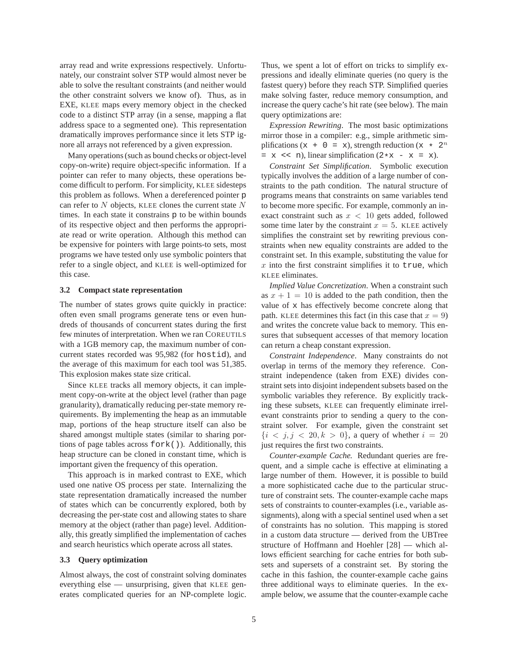array read and write expressions respectively. Unfortunately, our constraint solver STP would almost never be able to solve the resultant constraints (and neither would the other constraint solvers we know of). Thus, as in EXE, KLEE maps every memory object in the checked code to a distinct STP array (in a sense, mapping a flat address space to a segmented one). This representation dramatically improves performance since it lets STP ignore all arrays not referenced by a given expression.

Many operations (such as bound checks or object-level copy-on-write) require object-specific information. If a pointer can refer to many objects, these operations become difficult to perform. For simplicity, KLEE sidesteps this problem as follows. When a dereferenced pointer p can refer to  $N$  objects, KLEE clones the current state  $N$ times. In each state it constrains p to be within bounds of its respective object and then performs the appropriate read or write operation. Although this method can be expensive for pointers with large points-to sets, most programs we have tested only use symbolic pointers that refer to a single object, and KLEE is well-optimized for this case.

#### **3.2 Compact state representation**

The number of states grows quite quickly in practice: often even small programs generate tens or even hundreds of thousands of concurrent states during the first few minutes of interpretation. When we ran COREUTILS with a 1GB memory cap, the maximum number of concurrent states recorded was 95,982 (for hostid), and the average of this maximum for each tool was 51,385. This explosion makes state size critical.

Since KLEE tracks all memory objects, it can implement copy-on-write at the object level (rather than page granularity), dramatically reducing per-state memory requirements. By implementing the heap as an immutable map, portions of the heap structure itself can also be shared amongst multiple states (similar to sharing portions of page tables across fork()). Additionally, this heap structure can be cloned in constant time, which is important given the frequency of this operation.

This approach is in marked contrast to EXE, which used one native OS process per state. Internalizing the state representation dramatically increased the number of states which can be concurrently explored, both by decreasing the per-state cost and allowing states to share memory at the object (rather than page) level. Additionally, this greatly simplified the implementation of caches and search heuristics which operate across all states.

#### **3.3 Query optimization**

Almost always, the cost of constraint solving dominates everything else — unsurprising, given that KLEE generates complicated queries for an NP-complete logic. Thus, we spent a lot of effort on tricks to simplify expressions and ideally eliminate queries (no query is the fastest query) before they reach STP. Simplified queries make solving faster, reduce memory consumption, and increase the query cache's hit rate (see below). The main query optimizations are:

*Expression Rewriting*. The most basic optimizations mirror those in a compiler: e.g., simple arithmetic simplifications (x + 0 = x), strength reduction (x  $\star$  2<sup>n</sup>  $= x \iff n$ ), linear simplification  $(2*x - x = x)$ .

*Constraint Set Simplification*. Symbolic execution typically involves the addition of a large number of constraints to the path condition. The natural structure of programs means that constraints on same variables tend to become more specific. For example, commonly an inexact constraint such as  $x < 10$  gets added, followed some time later by the constraint  $x = 5$ . KLEE actively simplifies the constraint set by rewriting previous constraints when new equality constraints are added to the constraint set. In this example, substituting the value for  $x$  into the first constraint simplifies it to true, which KLEE eliminates.

*Implied Value Concretization*. When a constraint such as  $x + 1 = 10$  is added to the path condition, then the value of x has effectively become concrete along that path. KLEE determines this fact (in this case that  $x = 9$ ) and writes the concrete value back to memory. This ensures that subsequent accesses of that memory location can return a cheap constant expression.

*Constraint Independence*. Many constraints do not overlap in terms of the memory they reference. Constraint independence (taken from EXE) divides constraint sets into disjoint independent subsets based on the symbolic variables they reference. By explicitly tracking these subsets, KLEE can frequently eliminate irrelevant constraints prior to sending a query to the constraint solver. For example, given the constraint set  ${i < j, j < 20, k > 0}$ , a query of whether  $i = 20$ just requires the first two constraints.

*Counter-example Cache.* Redundant queries are frequent, and a simple cache is effective at eliminating a large number of them. However, it is possible to build a more sophisticated cache due to the particular structure of constraint sets. The counter-example cache maps sets of constraints to counter-examples (i.e., variable assignments), along with a special sentinel used when a set of constraints has no solution. This mapping is stored in a custom data structure — derived from the UBTree structure of Hoffmann and Hoehler [28] — which allows efficient searching for cache entries for both subsets and supersets of a constraint set. By storing the cache in this fashion, the counter-example cache gains three additional ways to eliminate queries. In the example below, we assume that the counter-example cache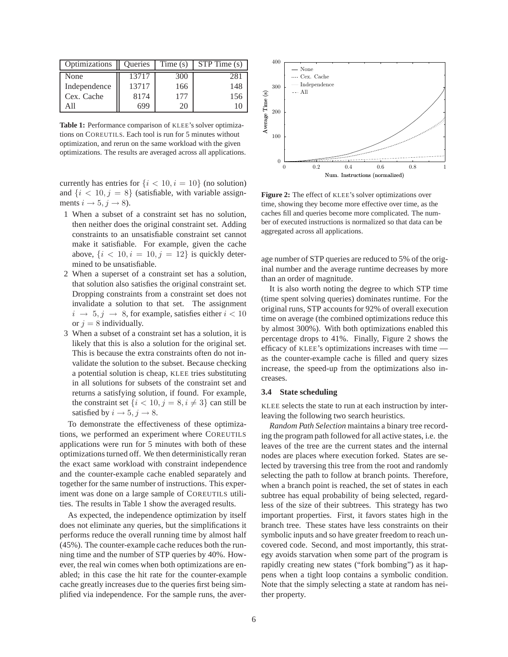| Optimizations | Queries | Time(s) | STP Time (s) |
|---------------|---------|---------|--------------|
| None          | 13717   | 300     | 281          |
| Independence  | 13717   | 166     | 148          |
| Cex. Cache    | 8174    | 177     | 156          |
| A 11          | 699     | 20      |              |

**Table 1:** Performance comparison of KLEE's solver optimizations on COREUTILS. Each tool is run for 5 minutes without optimization, and rerun on the same workload with the given optimizations. The results are averaged across all applications.

currently has entries for  $\{i < 10, i = 10\}$  (no solution) and  $\{i < 10, j = 8\}$  (satisfiable, with variable assignments  $i \rightarrow 5, j \rightarrow 8$ ).

- 1 When a subset of a constraint set has no solution, then neither does the original constraint set. Adding constraints to an unsatisfiable constraint set cannot make it satisfiable. For example, given the cache above,  $\{i < 10, i = 10, j = 12\}$  is quickly determined to be unsatisfiable.
- 2 When a superset of a constraint set has a solution, that solution also satisfies the original constraint set. Dropping constraints from a constraint set does not invalidate a solution to that set. The assignment  $i \rightarrow 5, j \rightarrow 8$ , for example, satisfies either  $i < 10$ or  $j = 8$  individually.
- 3 When a subset of a constraint set has a solution, it is likely that this is also a solution for the original set. This is because the extra constraints often do not invalidate the solution to the subset. Because checking a potential solution is cheap, KLEE tries substituting in all solutions for subsets of the constraint set and returns a satisfying solution, if found. For example, the constraint set  $\{i < 10, j = 8, i \neq 3\}$  can still be satisfied by  $i \rightarrow 5, j \rightarrow 8$ .

To demonstrate the effectiveness of these optimizations, we performed an experiment where COREUTILS applications were run for 5 minutes with both of these optimizations turned off. We then deterministically reran the exact same workload with constraint independence and the counter-example cache enabled separately and together for the same number of instructions. This experiment was done on a large sample of COREUTILS utilities. The results in Table 1 show the averaged results.

As expected, the independence optimization by itself does not eliminate any queries, but the simplifications it performs reduce the overall running time by almost half (45%). The counter-example cache reduces both the running time and the number of STP queries by 40%. However, the real win comes when both optimizations are enabled; in this case the hit rate for the counter-example cache greatly increases due to the queries first being simplified via independence. For the sample runs, the aver-



**Figure 2:** The effect of KLEE's solver optimizations over time, showing they become more effective over time, as the caches fill and queries become more complicated. The number of executed instructions is normalized so that data can be aggregated across all applications.

age number of STP queries are reduced to 5% of the original number and the average runtime decreases by more than an order of magnitude.

It is also worth noting the degree to which STP time (time spent solving queries) dominates runtime. For the original runs, STP accounts for 92% of overall execution time on average (the combined optimizations reduce this by almost 300%). With both optimizations enabled this percentage drops to 41%. Finally, Figure 2 shows the efficacy of KLEE's optimizations increases with time as the counter-example cache is filled and query sizes increase, the speed-up from the optimizations also increases.

#### **3.4 State scheduling**

KLEE selects the state to run at each instruction by interleaving the following two search heuristics.

*Random Path Selection* maintains a binary tree recording the program path followed for all active states, i.e. the leaves of the tree are the current states and the internal nodes are places where execution forked. States are selected by traversing this tree from the root and randomly selecting the path to follow at branch points. Therefore, when a branch point is reached, the set of states in each subtree has equal probability of being selected, regardless of the size of their subtrees. This strategy has two important properties. First, it favors states high in the branch tree. These states have less constraints on their symbolic inputs and so have greater freedom to reach uncovered code. Second, and most importantly, this strategy avoids starvation when some part of the program is rapidly creating new states ("fork bombing") as it happens when a tight loop contains a symbolic condition. Note that the simply selecting a state at random has neither property.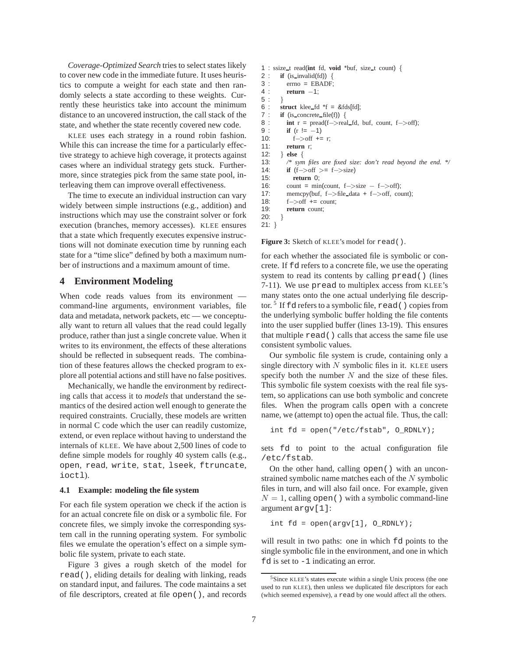*Coverage-Optimized Search* tries to select states likely to cover new code in the immediate future. It uses heuristics to compute a weight for each state and then randomly selects a state according to these weights. Currently these heuristics take into account the minimum distance to an uncovered instruction, the call stack of the state, and whether the state recently covered new code.

KLEE uses each strategy in a round robin fashion. While this can increase the time for a particularly effective strategy to achieve high coverage, it protects against cases where an individual strategy gets stuck. Furthermore, since strategies pick from the same state pool, interleaving them can improve overall effectiveness.

The time to execute an individual instruction can vary widely between simple instructions (e.g., addition) and instructions which may use the constraint solver or fork execution (branches, memory accesses). KLEE ensures that a state which frequently executes expensive instructions will not dominate execution time by running each state for a "time slice" defined by both a maximum number of instructions and a maximum amount of time.

# **4 Environment Modeling**

When code reads values from its environment command-line arguments, environment variables, file data and metadata, network packets, etc — we conceptually want to return all values that the read could legally produce, rather than just a single concrete value. When it writes to its environment, the effects of these alterations should be reflected in subsequent reads. The combination of these features allows the checked program to explore all potential actions and still have no false positives.

Mechanically, we handle the environment by redirecting calls that access it to *models* that understand the semantics of the desired action well enough to generate the required constraints. Crucially, these models are written in normal C code which the user can readily customize, extend, or even replace without having to understand the internals of KLEE. We have about 2,500 lines of code to define simple models for roughly 40 system calls (e.g., open, read, write, stat, lseek, ftruncate, ioctl).

#### **4.1 Example: modeling the file system**

For each file system operation we check if the action is for an actual concrete file on disk or a symbolic file. For concrete files, we simply invoke the corresponding system call in the running operating system. For symbolic files we emulate the operation's effect on a simple symbolic file system, private to each state.

Figure 3 gives a rough sketch of the model for read(), eliding details for dealing with linking, reads on standard input, and failures. The code maintains a set of file descriptors, created at file open(), and records

```
1 : ssize t read(int fd, void *buf, size t count) {
2 : if (is_invalid(fd)) {<br>3 : \text{errno} = \text{EBADF}errno = EBADF;
4 : return −1;
5:6 : struct klee fd *f = 8fds[fd];<br>7 : if (is concrete file(f)) {
7 : if (is_concrete_file(f)) {<br>8 : int r = \text{pread}(f \rightarrow \text{rea})\int \int r = \text{pred}(f - \text{pred\_fd}, \text{buf}, \text{count}, f - \text{conf});
9 : if (r := -1)<br>10: i f > off +=
               f \rightarrow \text{off} += r;
11: return r;
12: } else {
13: /* sym files are fixed size: don't read beyond the end. */
14: if (f \rightarrow \text{off } \gt = f \rightarrow \text{size})<br>15: return 0:
               return 0;
16: count = min(count, f->size – f->off);
17: memcpy(buf, f−>file data + f−>off, count);
18: f−>off += count;
19: return count;
20:}
```

```
21: }
```
Figure 3: Sketch of KLEE's model for read().

for each whether the associated file is symbolic or concrete. If fd refers to a concrete file, we use the operating system to read its contents by calling pread() (lines 7-11). We use pread to multiplex access from KLEE's many states onto the one actual underlying file descriptor.<sup>5</sup> If fd refers to a symbolic file, read () copies from the underlying symbolic buffer holding the file contents into the user supplied buffer (lines 13-19). This ensures that multiple read() calls that access the same file use consistent symbolic values.

Our symbolic file system is crude, containing only a single directory with  $N$  symbolic files in it. KLEE users specify both the number  $N$  and the size of these files. This symbolic file system coexists with the real file system, so applications can use both symbolic and concrete files. When the program calls open with a concrete name, we (attempt to) open the actual file. Thus, the call:

int fd = open("/etc/fstab", O\_RDNLY);

sets fd to point to the actual configuration file /etc/fstab.

On the other hand, calling open() with an unconstrained symbolic name matches each of the N symbolic files in turn, and will also fail once. For example, given  $N = 1$ , calling open() with a symbolic command-line argument argv[1]:

int  $fd = open(argv[1], O_RDNLY);$ 

will result in two paths: one in which  $Ed$  points to the single symbolic file in the environment, and one in which fd is set to  $-1$  indicating an error.

<sup>5</sup>Since KLEE's states execute within a single Unix process (the one used to run KLEE), then unless we duplicated file descriptors for each (which seemed expensive), a read by one would affect all the others.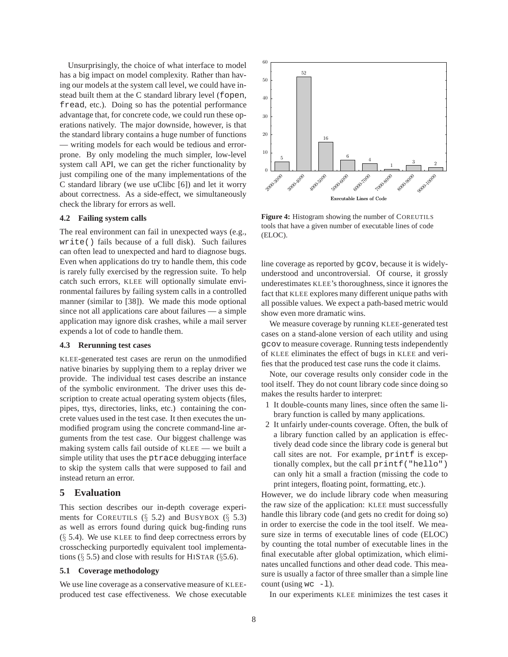Unsurprisingly, the choice of what interface to model has a big impact on model complexity. Rather than having our models at the system call level, we could have instead built them at the C standard library level (fopen, fread, etc.). Doing so has the potential performance advantage that, for concrete code, we could run these operations natively. The major downside, however, is that the standard library contains a huge number of functions — writing models for each would be tedious and errorprone. By only modeling the much simpler, low-level system call API, we can get the richer functionality by just compiling one of the many implementations of the C standard library (we use uClibc [6]) and let it worry about correctness. As a side-effect, we simultaneously check the library for errors as well.

## **4.2 Failing system calls**

The real environment can fail in unexpected ways (e.g., write() fails because of a full disk). Such failures can often lead to unexpected and hard to diagnose bugs. Even when applications do try to handle them, this code is rarely fully exercised by the regression suite. To help catch such errors, KLEE will optionally simulate environmental failures by failing system calls in a controlled manner (similar to [38]). We made this mode optional since not all applications care about failures — a simple application may ignore disk crashes, while a mail server expends a lot of code to handle them.

## **4.3 Rerunning test cases**

KLEE-generated test cases are rerun on the unmodified native binaries by supplying them to a replay driver we provide. The individual test cases describe an instance of the symbolic environment. The driver uses this description to create actual operating system objects (files, pipes, ttys, directories, links, etc.) containing the concrete values used in the test case. It then executes the unmodified program using the concrete command-line arguments from the test case. Our biggest challenge was making system calls fail outside of KLEE — we built a simple utility that uses the ptrace debugging interface to skip the system calls that were supposed to fail and instead return an error.

## **5 Evaluation**

This section describes our in-depth coverage experiments for COREUTILS (§ 5.2) and BUSYBOX (§ 5.3) as well as errors found during quick bug-finding runs  $(\S$  5.4). We use KLEE to find deep correctness errors by crosschecking purportedly equivalent tool implementations  $(\S 5.5)$  and close with results for HISTAR ( $\S 5.6$ ).

## **5.1 Coverage methodology**

We use line coverage as a conservative measure of KLEEproduced test case effectiveness. We chose executable



**Figure 4:** Histogram showing the number of COREUTILS tools that have a given number of executable lines of code (ELOC).

line coverage as reported by gcov, because it is widelyunderstood and uncontroversial. Of course, it grossly underestimates KLEE's thoroughness, since it ignores the fact that KLEE explores many different unique paths with all possible values. We expect a path-based metric would show even more dramatic wins.

We measure coverage by running KLEE-generated test cases on a stand-alone version of each utility and using gcov to measure coverage. Running tests independently of KLEE eliminates the effect of bugs in KLEE and verifies that the produced test case runs the code it claims.

Note, our coverage results only consider code in the tool itself. They do not count library code since doing so makes the results harder to interpret:

- 1 It double-counts many lines, since often the same library function is called by many applications.
- 2 It unfairly under-counts coverage. Often, the bulk of a library function called by an application is effectively dead code since the library code is general but call sites are not. For example, printf is exceptionally complex, but the call printf("hello") can only hit a small a fraction (missing the code to print integers, floating point, formatting, etc.).

However, we do include library code when measuring the raw size of the application: KLEE must successfully handle this library code (and gets no credit for doing so) in order to exercise the code in the tool itself. We measure size in terms of executable lines of code (ELOC) by counting the total number of executable lines in the final executable after global optimization, which eliminates uncalled functions and other dead code. This measure is usually a factor of three smaller than a simple line count (using  $wc -1$ ).

In our experiments KLEE minimizes the test cases it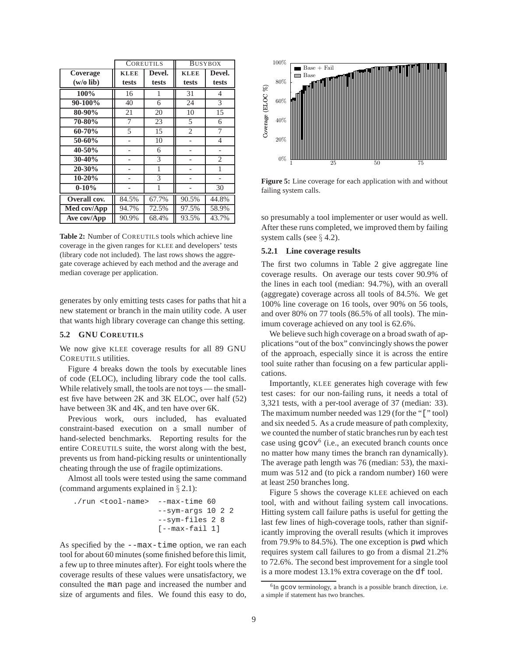|              | <b>COREUTILS</b> |        | <b>BUSYBOX</b> |                |
|--------------|------------------|--------|----------------|----------------|
| Coverage     | <b>KLEE</b>      | Devel. | <b>KLEE</b>    | Devel.         |
| $(w/o$ lib)  | tests            | tests  | tests          | tests          |
| 100%         | 16               | 1      | 31             | 4              |
| $90-100\%$   | 40               | 6      | 24             | 3              |
| 80-90%       | 21               | 20     | 10             | 15             |
| 70-80%       | 7                | 23     | 5              | 6              |
| $60 - 70%$   | 5                | 15     | $\overline{c}$ | 7              |
| 50-60%       |                  | 10     |                | 4              |
| 40-50%       |                  | 6      |                |                |
| $30-40%$     |                  | 3      |                | $\overline{c}$ |
| 20-30%       |                  | 1      |                | 1              |
| $10 - 20%$   |                  | 3      |                |                |
| $0 - 10\%$   |                  | 1      |                | 30             |
| Overall cov. | 84.5%            | 67.7%  | 90.5%          | 44.8%          |
| Med cov/App  | 94.7%            | 72.5%  | 97.5%          | 58.9%          |
| Ave cov/App  | 90.9%            | 68.4%  | 93.5%          | 43.7%          |

**Table 2:** Number of COREUTILS tools which achieve line coverage in the given ranges for KLEE and developers' tests (library code not included). The last rows shows the aggregate coverage achieved by each method and the average and median coverage per application.

generates by only emitting tests cases for paths that hit a new statement or branch in the main utility code. A user that wants high library coverage can change this setting.

## **5.2 GNU COREUTILS**

We now give KLEE coverage results for all 89 GNU COREUTILS utilities.

Figure 4 breaks down the tools by executable lines of code (ELOC), including library code the tool calls. While relatively small, the tools are not toys — the smallest five have between 2K and 3K ELOC, over half (52) have between 3K and 4K, and ten have over 6K.

Previous work, ours included, has evaluated constraint-based execution on a small number of hand-selected benchmarks. Reporting results for the entire COREUTILS suite, the worst along with the best, prevents us from hand-picking results or unintentionally cheating through the use of fragile optimizations.

Almost all tools were tested using the same command (command arguments explained in § 2.1):

./run <tool-name> --max-time 60 --sym-args 10 2 2 --sym-files 2 8 [--max-fail 1]

As specified by the --max-time option, we ran each tool for about 60 minutes (some finished before this limit, a few up to three minutes after). For eight tools where the coverage results of these values were unsatisfactory, we consulted the man page and increased the number and size of arguments and files. We found this easy to do,



**Figure 5:** Line coverage for each application with and without failing system calls.

so presumably a tool implementer or user would as well. After these runs completed, we improved them by failing system calls (see  $\S$  4.2).

#### **5.2.1 Line coverage results**

The first two columns in Table 2 give aggregate line coverage results. On average our tests cover 90.9% of the lines in each tool (median: 94.7%), with an overall (aggregate) coverage across all tools of 84.5%. We get 100% line coverage on 16 tools, over 90% on 56 tools, and over 80% on 77 tools (86.5% of all tools). The minimum coverage achieved on any tool is 62.6%.

We believe such high coverage on a broad swath of applications "out of the box" convincingly shows the power of the approach, especially since it is across the entire tool suite rather than focusing on a few particular applications.

Importantly, KLEE generates high coverage with few test cases: for our non-failing runs, it needs a total of 3,321 tests, with a per-tool average of 37 (median: 33). The maximum number needed was 129 (for the "[" tool) and six needed 5. As a crude measure of path complexity, we counted the number of static branches run by each test case using  $g\text{cov}^6$  (i.e., an executed branch counts once no matter how many times the branch ran dynamically). The average path length was 76 (median: 53), the maximum was 512 and (to pick a random number) 160 were at least 250 branches long.

Figure 5 shows the coverage KLEE achieved on each tool, with and without failing system call invocations. Hitting system call failure paths is useful for getting the last few lines of high-coverage tools, rather than significantly improving the overall results (which it improves from 79.9% to 84.5%). The one exception is pwd which requires system call failures to go from a dismal 21.2% to 72.6%. The second best improvement for a single tool is a more modest 13.1% extra coverage on the df tool.

<sup>&</sup>lt;sup>6</sup>In gcov terminology, a branch is a possible branch direction, i.e. a simple if statement has two branches.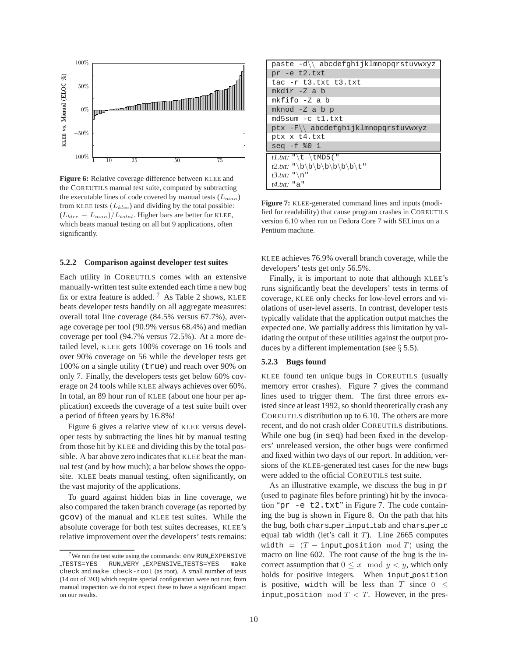

**Figure 6:** Relative coverage difference between KLEE and the COREUTILS manual test suite, computed by subtracting the executable lines of code covered by manual tests  $(L_{man})$ from KLEE tests  $(L_{klee})$  and dividing by the total possible:  $(L_{klee} - L_{man})/L_{total}$ . Higher bars are better for KLEE, which beats manual testing on all but 9 applications, often significantly.

#### **5.2.2 Comparison against developer test suites**

Each utility in COREUTILS comes with an extensive manually-written test suite extended each time a new bug fix or extra feature is added.<sup>7</sup> As Table 2 shows, KLEE beats developer tests handily on all aggregate measures: overall total line coverage (84.5% versus 67.7%), average coverage per tool (90.9% versus 68.4%) and median coverage per tool (94.7% versus 72.5%). At a more detailed level, KLEE gets 100% coverage on 16 tools and over 90% coverage on 56 while the developer tests get 100% on a single utility (true) and reach over 90% on only 7. Finally, the developers tests get below 60% coverage on 24 tools while KLEE always achieves over 60%. In total, an 89 hour run of KLEE (about one hour per application) exceeds the coverage of a test suite built over a period of fifteen years by 16.8%!

Figure 6 gives a relative view of KLEE versus developer tests by subtracting the lines hit by manual testing from those hit by KLEE and dividing this by the total possible. A bar above zero indicates that KLEE beat the manual test (and by how much); a bar below shows the opposite. KLEE beats manual testing, often significantly, on the vast majority of the applications.

To guard against hidden bias in line coverage, we also compared the taken branch coverage (as reported by gcov) of the manual and KLEE test suites. While the absolute coverage for both test suites decreases, KLEE's relative improvement over the developers' tests remains:

| paste -d\\ abcdefghijklmnopqrstuvwxyz |
|---------------------------------------|
| pr -e t2.txt                          |
| tac $-r$ t3.txt t3.txt                |
| $mkdir -Z a b$                        |
| mkfifo -Z a b                         |
| $mknod - Z a b p$                     |
| md5sum -c t1.txt                      |
| ptx -F\\ abcdefqhijklmnopqrstuvwxyz   |
| ptx x t4.txt                          |
| $seq -f * 0 1$                        |
| $t1.txt$ : "\t \tMD5("                |
| $t2.txt$ : "\b\b\b\b\b\b\t"           |
| $t3.txt$ : "\n"                       |
| $t4.txt$ : "a"                        |

**Figure 7:** KLEE-generated command lines and inputs (modified for readability) that cause program crashes in COREUTILS version 6.10 when run on Fedora Core 7 with SELinux on a Pentium machine.

KLEE achieves 76.9% overall branch coverage, while the developers' tests get only 56.5%.

Finally, it is important to note that although KLEE's runs significantly beat the developers' tests in terms of coverage, KLEE only checks for low-level errors and violations of user-level asserts. In contrast, developer tests typically validate that the application output matches the expected one. We partially address this limitation by validating the output of these utilities against the output produces by a different implementation (see  $\S$  5.5).

#### **5.2.3 Bugs found**

KLEE found ten unique bugs in COREUTILS (usually memory error crashes). Figure 7 gives the command lines used to trigger them. The first three errors existed since at least 1992, so should theoretically crash any COREUTILS distribution up to 6.10. The others are more recent, and do not crash older COREUTILS distributions. While one bug (in seq) had been fixed in the developers' unreleased version, the other bugs were confirmed and fixed within two days of our report. In addition, versions of the KLEE-generated test cases for the new bugs were added to the official COREUTILS test suite.

As an illustrative example, we discuss the bug in pr (used to paginate files before printing) hit by the invocation "pr -e t2.txt" in Figure 7. The code containing the bug is shown in Figure 8. On the path that hits the bug, both chars per input tab and chars per c equal tab width (let's call it  $T$ ). Line 2665 computes width =  $(T - input_{position} mod T)$  using the macro on line 602. The root cause of the bug is the incorrect assumption that  $0 \leq x \mod y < y$ , which only holds for positive integers. When input position is positive, width will be less than T since  $0 \leq$ input position mod  $T < T$ . However, in the pres-

 $7$ We ran the test suite using the commands: env RUN\_EXPENSIVE TESTS=YES RUN VERY EXPENSIVE TESTS=YES make check and make check-root (as root). A small number of tests (14 out of 393) which require special configuration were not run; from manual inspection we do not expect these to have a significant impact on our results.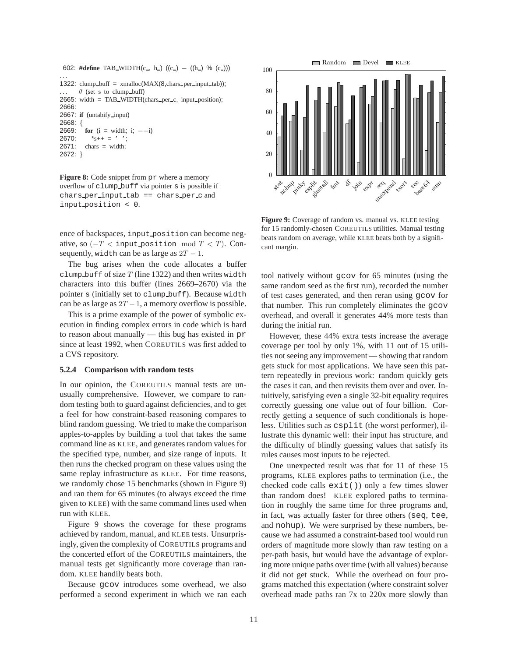```
602: #define TAB_WIDTH(c<sub>-</sub>, h<sub>-</sub>) ((c<sub>-</sub>) − ((h<sub>-</sub>) % (c<sub>-</sub>)))
. . .
1322: clump_buff = x \text{malloc}(MAX(8, \text{chars\_per\_input\_tab}));
       // (set s to clump_buff)
2665: width = TAB_WIDTH(chars_per_c, input_position);
2666:
2667: if (untabify input)
2668: {
2669: for (i = width; i; -−i)
2670: *_{s++} = ' ';
2671: chars = width;
2672: }
```
**Figure 8:** Code snippet from pr where a memory overflow of clump buff via pointer s is possible if chars per input tab == chars per c and input position < 0.

ence of backspaces, input position can become negative, so ( $-T$  < input position mod  $T$  < T). Consequently, width can be as large as  $2T - 1$ .

The bug arises when the code allocates a buffer clump buff of size  $T$  (line 1322) and then writes width characters into this buffer (lines 2669–2670) via the pointer s (initially set to clump buff). Because width can be as large as  $2T - 1$ , a memory overflow is possible.

This is a prime example of the power of symbolic execution in finding complex errors in code which is hard to reason about manually  $-$  this bug has existed in pr since at least 1992, when COREUTILS was first added to a CVS repository.

#### **5.2.4 Comparison with random tests**

In our opinion, the COREUTILS manual tests are unusually comprehensive. However, we compare to random testing both to guard against deficiencies, and to get a feel for how constraint-based reasoning compares to blind random guessing. We tried to make the comparison apples-to-apples by building a tool that takes the same command line as KLEE, and generates random values for the specified type, number, and size range of inputs. It then runs the checked program on these values using the same replay infrastructure as KLEE. For time reasons, we randomly chose 15 benchmarks (shown in Figure 9) and ran them for 65 minutes (to always exceed the time given to KLEE) with the same command lines used when run with KLEE.

Figure 9 shows the coverage for these programs achieved by random, manual, and KLEE tests. Unsurprisingly, given the complexity of COREUTILS programs and the concerted effort of the COREUTILS maintainers, the manual tests get significantly more coverage than random. KLEE handily beats both.

Because gcov introduces some overhead, we also performed a second experiment in which we ran each



**Figure 9:** Coverage of random vs. manual vs. KLEE testing for 15 randomly-chosen COREUTILS utilities. Manual testing beats random on average, while KLEE beats both by a significant margin.

tool natively without gcov for 65 minutes (using the same random seed as the first run), recorded the number of test cases generated, and then reran using gcov for that number. This run completely eliminates the gcov overhead, and overall it generates 44% more tests than during the initial run.

However, these 44% extra tests increase the average coverage per tool by only 1%, with 11 out of 15 utilities not seeing any improvement — showing that random gets stuck for most applications. We have seen this pattern repeatedly in previous work: random quickly gets the cases it can, and then revisits them over and over. Intuitively, satisfying even a single 32-bit equality requires correctly guessing one value out of four billion. Correctly getting a sequence of such conditionals is hopeless. Utilities such as csplit (the worst performer), illustrate this dynamic well: their input has structure, and the difficulty of blindly guessing values that satisfy its rules causes most inputs to be rejected.

One unexpected result was that for 11 of these 15 programs, KLEE explores paths to termination (i.e., the checked code calls exit()) only a few times slower than random does! KLEE explored paths to termination in roughly the same time for three programs and, in fact, was actually faster for three others (seq, tee, and nohup). We were surprised by these numbers, because we had assumed a constraint-based tool would run orders of magnitude more slowly than raw testing on a per-path basis, but would have the advantage of exploring more unique paths over time (with all values) because it did not get stuck. While the overhead on four programs matched this expectation (where constraint solver overhead made paths ran 7x to 220x more slowly than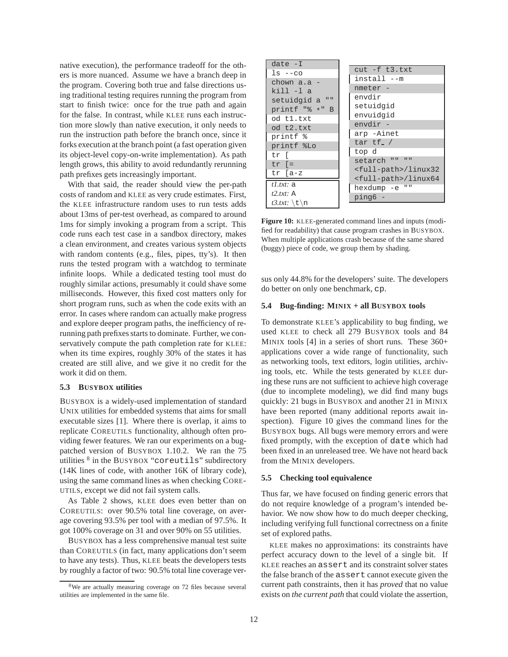native execution), the performance tradeoff for the others is more nuanced. Assume we have a branch deep in the program. Covering both true and false directions using traditional testing requires running the program from start to finish twice: once for the true path and again for the false. In contrast, while KLEE runs each instruction more slowly than native execution, it only needs to run the instruction path before the branch once, since it forks execution at the branch point (a fast operation given its object-level copy-on-write implementation). As path length grows, this ability to avoid redundantly rerunning path prefixes gets increasingly important.

With that said, the reader should view the per-path costs of random and KLEE as very crude estimates. First, the KLEE infrastructure random uses to run tests adds about 13ms of per-test overhead, as compared to around 1ms for simply invoking a program from a script. This code runs each test case in a sandbox directory, makes a clean environment, and creates various system objects with random contents (e.g., files, pipes, tty's). It then runs the tested program with a watchdog to terminate infinite loops. While a dedicated testing tool must do roughly similar actions, presumably it could shave some milliseconds. However, this fixed cost matters only for short program runs, such as when the code exits with an error. In cases where random can actually make progress and explore deeper program paths, the inefficiency of rerunning path prefixes starts to dominate. Further, we conservatively compute the path completion rate for KLEE: when its time expires, roughly 30% of the states it has created are still alive, and we give it no credit for the work it did on them.

#### **5.3 BUSYBOX utilities**

BUSYBOX is a widely-used implementation of standard UNIX utilities for embedded systems that aims for small executable sizes [1]. Where there is overlap, it aims to replicate COREUTILS functionality, although often providing fewer features. We ran our experiments on a bugpatched version of BUSYBOX 1.10.2. We ran the 75 utilities <sup>8</sup> in the BUSYBOX "coreutils" subdirectory (14K lines of code, with another 16K of library code), using the same command lines as when checking CORE-UTILS, except we did not fail system calls.

As Table 2 shows, KLEE does even better than on COREUTILS: over 90.5% total line coverage, on average covering 93.5% per tool with a median of 97.5%. It got 100% coverage on 31 and over 90% on 55 utilities.

BUSYBOX has a less comprehensive manual test suite than COREUTILS (in fact, many applications don't seem to have any tests). Thus, KLEE beats the developers tests by roughly a factor of two: 90.5% total line coverage ver-

| $date -I$       |                                 |
|-----------------|---------------------------------|
| $ls -co$        | $cut$ -f $t3.txt$               |
| chown $a.a -$   | install --m                     |
| kill -l a       | nmeter -                        |
|                 | envdir                          |
| setuidgid a ""  | setuidqid                       |
| printf "% *" B  | envuidgid                       |
| od t1.txt       | envdir -                        |
| od t2.txt       | arp -Ainet                      |
| printf %        |                                 |
| printf %Lo      | tar $tf$ . /                    |
| tr I            | top d                           |
| $tr$ $=$        | setarch ""<br>$\mathbf{H}$      |
| $tr$ [a-z       | <full-path>/linux32</full-path> |
|                 | <full-path>/linux64</full-path> |
| $t$ . txt: a    | hexdump -e ""                   |
| $t2.txt$ : A    | ping6 -                         |
| $t3.txt$ : \t\n |                                 |

**Figure 10:** KLEE-generated command lines and inputs (modified for readability) that cause program crashes in BUSYBOX. When multiple applications crash because of the same shared (buggy) piece of code, we group them by shading.

sus only 44.8% for the developers' suite. The developers do better on only one benchmark, cp.

## **5.4 Bug-finding: MINIX + all BUSYBOX tools**

To demonstrate KLEE's applicability to bug finding, we used KLEE to check all 279 BUSYBOX tools and 84 MINIX tools [4] in a series of short runs. These 360+ applications cover a wide range of functionality, such as networking tools, text editors, login utilities, archiving tools, etc. While the tests generated by KLEE during these runs are not sufficient to achieve high coverage (due to incomplete modeling), we did find many bugs quickly: 21 bugs in BUSYBOX and another 21 in MINIX have been reported (many additional reports await inspection). Figure 10 gives the command lines for the BUSYBOX bugs. All bugs were memory errors and were fixed promptly, with the exception of date which had been fixed in an unreleased tree. We have not heard back from the MINIX developers.

#### **5.5 Checking tool equivalence**

Thus far, we have focused on finding generic errors that do not require knowledge of a program's intended behavior. We now show how to do much deeper checking, including verifying full functional correctness on a finite set of explored paths.

KLEE makes no approximations: its constraints have perfect accuracy down to the level of a single bit. If KLEE reaches an assert and its constraint solver states the false branch of the assert cannot execute given the current path constraints, then it has *proved* that no value exists on *the current path* that could violate the assertion,

<sup>&</sup>lt;sup>8</sup>We are actually measuring coverage on 72 files because several utilities are implemented in the same file.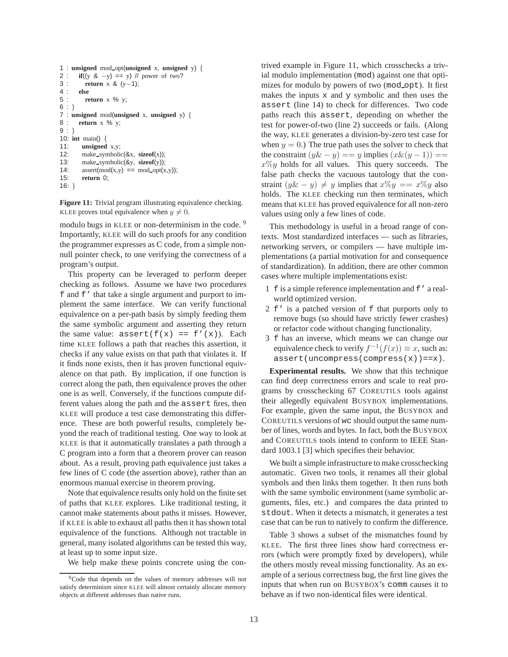```
1 : unsigned mod opt(unsigned x, unsigned y) {
2 : if((y & -y) == y) // power of two?<br>3 : return x & (y-1);
3 : return x & (y−1);
4 : else
         return x % y;
6 : }7 : unsigned mod(unsigned x, unsigned y) {
      return x % y;
9 : }
10: int main() {
11: unsigned x,y;
12: make symbolic(&x, sizeof(x));
13: make symbolic(&y, sizeof(y));
14: \text{assert}(\text{mod}(x,y)) == \text{mod-opt}(x,y));<br>15: \text{return } 0;return 0;
16: }
```
**Figure 11:** Trivial program illustrating equivalence checking. KLEE proves total equivalence when  $y \neq 0$ .

modulo bugs in KLEE or non-determinism in the code.<sup>9</sup> Importantly, KLEE will do such proofs for any condition the programmer expresses as C code, from a simple nonnull pointer check, to one verifying the correctness of a program's output.

This property can be leveraged to perform deeper checking as follows. Assume we have two procedures f and f' that take a single argument and purport to implement the same interface. We can verify functional equivalence on a per-path basis by simply feeding them the same symbolic argument and asserting they return the same value:  $assert(f(x) == f'(x))$ . Each time KLEE follows a path that reaches this assertion, it checks if any value exists on that path that violates it. If it finds none exists, then it has proven functional equivalence on that path. By implication, if one function is correct along the path, then equivalence proves the other one is as well. Conversely, if the functions compute different values along the path and the assert fires, then KLEE will produce a test case demonstrating this difference. These are both powerful results, completely beyond the reach of traditional testing. One way to look at KLEE is that it automatically translates a path through a C program into a form that a theorem prover can reason about. As a result, proving path equivalence just takes a few lines of C code (the assertion above), rather than an enormous manual exercise in theorem proving.

Note that equivalence results only hold on the finite set of paths that KLEE explores. Like traditional testing, it cannot make statements about paths it misses. However, if KLEE is able to exhaust all paths then it has shown total equivalence of the functions. Although not tractable in general, many isolated algorithms can be tested this way, at least up to some input size.

We help make these points concrete using the con-

trived example in Figure 11, which crosschecks a trivial modulo implementation (mod) against one that optimizes for modulo by powers of two (mod\_opt). It first makes the inputs x and y symbolic and then uses the assert (line 14) to check for differences. Two code paths reach this assert, depending on whether the test for power-of-two (line 2) succeeds or fails. (Along the way, KLEE generates a division-by-zero test case for when  $y = 0$ .) The true path uses the solver to check that the constraint  $(y& -y) == y$  implies  $(x&(y - 1)) ==$  $x\%y$  holds for all values. This query succeeds. The false path checks the vacuous tautology that the constraint  $(y\& - y) \neq y$  implies that  $x\%y == x\%y$  also holds. The KLEE checking run then terminates, which means that KLEE has proved equivalence for all non-zero values using only a few lines of code.

This methodology is useful in a broad range of contexts. Most standardized interfaces — such as libraries, networking servers, or compilers — have multiple implementations (a partial motivation for and consequence of standardization). In addition, there are other common cases where multiple implementations exist:

- 1 f is a simple reference implementation and f' a realworld optimized version.
- 2 f' is a patched version of f that purports only to remove bugs (so should have strictly fewer crashes) or refactor code without changing functionality.
- 3 f has an inverse, which means we can change our equivalence check to verify  $f^{-1}(f(x)) \equiv x$ , such as: assert(uncompress(compress(x))==x).

**Experimental results.** We show that this technique can find deep correctness errors and scale to real programs by crosschecking 67 COREUTILS tools against their allegedly equivalent BUSYBOX implementations. For example, given the same input, the BUSYBOX and COREUTILS versions of wc should output the same number of lines, words and bytes. In fact, both the BUSYBOX and COREUTILS tools intend to conform to IEEE Standard 1003.1 [3] which specifies their behavior.

We built a simple infrastructure to make crosschecking automatic. Given two tools, it renames all their global symbols and then links them together. It then runs both with the same symbolic environment (same symbolic arguments, files, etc.) and compares the data printed to stdout. When it detects a mismatch, it generates a test case that can be run to natively to confirm the difference.

Table 3 shows a subset of the mismatches found by KLEE. The first three lines show hard correctness errors (which were promptly fixed by developers), while the others mostly reveal missing functionality. As an example of a serious correctness bug, the first line gives the inputs that when run on BUSYBOX's comm causes it to behave as if two non-identical files were identical.

<sup>9</sup>Code that depends on the values of memory addresses will not satisfy determinism since KLEE will almost certainly allocate memory objects at different addresses than native runs.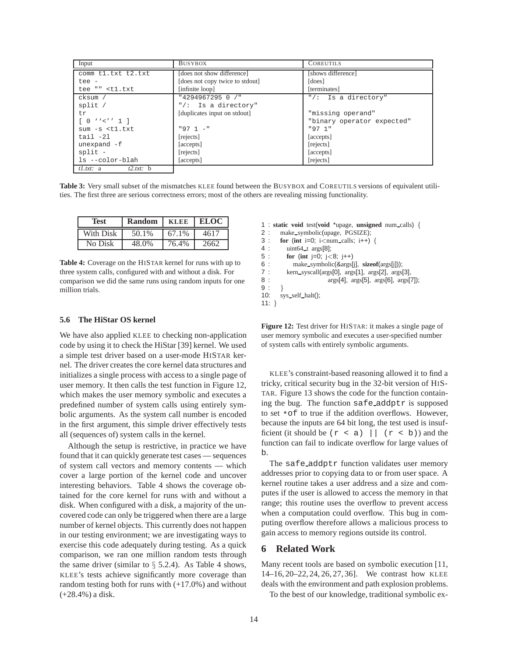| Input                                                                         | <b>BUSYBOX</b>                  | <b>COREUTILS</b>           |
|-------------------------------------------------------------------------------|---------------------------------|----------------------------|
| comm tl.txt t2.txt                                                            | [does not show difference]      | [shows difference]         |
| tee -                                                                         | [does not copy twice to stdout] | [does]                     |
| tee "" <t1.txt< td=""><td>[infinite loop]</td><td>[terminates]</td></t1.txt<> | [infinite loop]                 | [terminates]               |
| cksum /                                                                       | "4294967295 0 /"                | "/: Is a directory"        |
| split /                                                                       | "/: Is a directory"             |                            |
| tr.                                                                           | [duplicates input on stdout]    | "missing operand"          |
| $[0 \mid \lor \lor \lor \land \land \bot]$                                    |                                 | "binary operator expected" |
| $sum - s < t1.txt$                                                            | $"971 -"$                       | "97 1"                     |
| $tail -21$                                                                    | [rejects]                       | [accepts]                  |
| unexpand $-f$                                                                 | [accepts]                       | [rejects]                  |
| $split$ -                                                                     | [rejects]                       | [accepts]                  |
| ls --color-blah                                                               | [accepts]                       | [rejects]                  |
| $t1.txt$ : a $t2.txt$ : b                                                     |                                 |                            |

**Table 3:** Very small subset of the mismatches KLEE found between the BUSYBOX and COREUTILS versions of equivalent utilities. The first three are serious correctness errors; most of the others are revealing missing functionality.

| <b>Test</b> | Random | <b>KLEE</b> | <b>ELOC</b> |
|-------------|--------|-------------|-------------|
| With Disk   | 50.1%  | 67.1%       | 4617        |
| No Disk     | 48.0%  | 76.4%       | 2662        |

**Table 4:** Coverage on the HISTAR kernel for runs with up to three system calls, configured with and without a disk. For comparison we did the same runs using random inputs for one million trials.

#### **5.6 The HiStar OS kernel**

We have also applied KLEE to checking non-application code by using it to check the HiStar [39] kernel. We used a simple test driver based on a user-mode HISTAR kernel. The driver creates the core kernel data structures and initializes a single process with access to a single page of user memory. It then calls the test function in Figure 12, which makes the user memory symbolic and executes a predefined number of system calls using entirely symbolic arguments. As the system call number is encoded in the first argument, this simple driver effectively tests all (sequences of) system calls in the kernel.

Although the setup is restrictive, in practice we have found that it can quickly generate test cases — sequences of system call vectors and memory contents — which cover a large portion of the kernel code and uncover interesting behaviors. Table 4 shows the coverage obtained for the core kernel for runs with and without a disk. When configured with a disk, a majority of the uncovered code can only be triggered when there are a large number of kernel objects. This currently does not happen in our testing environment; we are investigating ways to exercise this code adequately during testing. As a quick comparison, we ran one million random tests through the same driver (similar to  $\S$  5.2.4). As Table 4 shows, KLEE's tests achieve significantly more coverage than random testing both for runs with (+17.0%) and without (+28.4%) a disk.

1 : **static void** test(**void** \*upage, **unsigned** num calls) { 2 : make\_symbolic(upage, PGSIZE);<br>3 : for (int i=0; i<num calls; i++)  $\therefore$  **for** (int i=0; i<num\_calls; i++) { 4 : uint64 t args[8]; 5 : **for** (**int** j=0; j<8; j++)<br>6 : make\_symbolic(&args[ 6 : make symbolic(&args[j], **sizeof**(args[j])); 7 : kern\_syscall(args[0], args[1], args[2], args[3], 8 :  $\arg s[4]$ ,  $\arg s[5]$ ,  $\arg s[6]$ ,  $\arg s[7]$ );  $9:$ } 10: sys self halt(); 11: }

**Figure 12:** Test driver for HISTAR: it makes a single page of user memory symbolic and executes a user-specified number of system calls with entirely symbolic arguments.

KLEE's constraint-based reasoning allowed it to find a tricky, critical security bug in the 32-bit version of HIS-TAR. Figure 13 shows the code for the function containing the bug. The function safe addptr is supposed to set \*of to true if the addition overflows. However, because the inputs are 64 bit long, the test used is insufficient (it should be  $(r \le a)$  |  $(r \le b)$ ) and the function can fail to indicate overflow for large values of b.

The safe addptr function validates user memory addresses prior to copying data to or from user space. A kernel routine takes a user address and a size and computes if the user is allowed to access the memory in that range; this routine uses the overflow to prevent access when a computation could overflow. This bug in computing overflow therefore allows a malicious process to gain access to memory regions outside its control.

# **6 Related Work**

Many recent tools are based on symbolic execution [11, 14–16, 20–22, 24, 26, 27, 36]. We contrast how KLEE deals with the environment and path explosion problems.

To the best of our knowledge, traditional symbolic ex-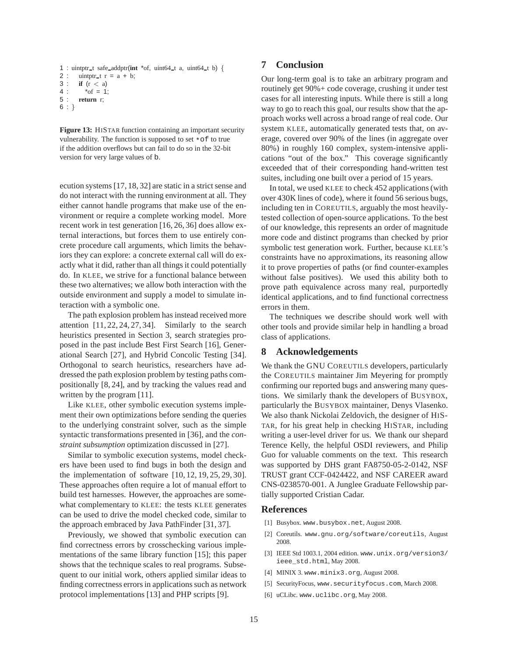```
1 : uintptr_t safe_addptr(int *of, uint64_t a, uint64_t b) {
2 : uintptr_t r = a + b;
3 : if (r < a)
4 : *of = 1;<br>5 : return r
      5 : return r;
6 : }
```
**Figure 13:** HISTAR function containing an important security vulnerability. The function is supposed to set \*of to true if the addition overflows but can fail to do so in the 32-bit version for very large values of b.

ecution systems [17, 18, 32] are static in a strict sense and do not interact with the running environment at all. They either cannot handle programs that make use of the environment or require a complete working model. More recent work in test generation [16, 26, 36] does allow external interactions, but forces them to use entirely concrete procedure call arguments, which limits the behaviors they can explore: a concrete external call will do exactly what it did, rather than all things it could potentially do. In KLEE, we strive for a functional balance between these two alternatives; we allow both interaction with the outside environment and supply a model to simulate interaction with a symbolic one.

The path explosion problem has instead received more attention  $[11, 22, 24, 27, 34]$ . Similarly to the search heuristics presented in Section 3, search strategies proposed in the past include Best First Search [16], Generational Search [27], and Hybrid Concolic Testing [34]. Orthogonal to search heuristics, researchers have addressed the path explosion problem by testing paths compositionally [8, 24], and by tracking the values read and written by the program [11].

Like KLEE, other symbolic execution systems implement their own optimizations before sending the queries to the underlying constraint solver, such as the simple syntactic transformations presented in [36], and the *constraint subsumption* optimization discussed in [27].

Similar to symbolic execution systems, model checkers have been used to find bugs in both the design and the implementation of software [10, 12, 19, 25, 29, 30]. These approaches often require a lot of manual effort to build test harnesses. However, the approaches are somewhat complementary to KLEE: the tests KLEE generates can be used to drive the model checked code, similar to the approach embraced by Java PathFinder [31, 37].

Previously, we showed that symbolic execution can find correctness errors by crosschecking various implementations of the same library function [15]; this paper shows that the technique scales to real programs. Subsequent to our initial work, others applied similar ideas to finding correctness errors in applications such as network protocol implementations [13] and PHP scripts [9].

# **7 Conclusion**

Our long-term goal is to take an arbitrary program and routinely get 90%+ code coverage, crushing it under test cases for all interesting inputs. While there is still a long way to go to reach this goal, our results show that the approach works well across a broad range of real code. Our system KLEE, automatically generated tests that, on average, covered over 90% of the lines (in aggregate over 80%) in roughly 160 complex, system-intensive applications "out of the box." This coverage significantly exceeded that of their corresponding hand-written test suites, including one built over a period of 15 years.

In total, we used KLEE to check 452 applications (with over 430K lines of code), where it found 56 serious bugs, including ten in COREUTILS, arguably the most heavilytested collection of open-source applications. To the best of our knowledge, this represents an order of magnitude more code and distinct programs than checked by prior symbolic test generation work. Further, because KLEE's constraints have no approximations, its reasoning allow it to prove properties of paths (or find counter-examples without false positives). We used this ability both to prove path equivalence across many real, purportedly identical applications, and to find functional correctness errors in them.

The techniques we describe should work well with other tools and provide similar help in handling a broad class of applications.

# **8 Acknowledgements**

We thank the GNU COREUTILS developers, particularly the COREUTILS maintainer Jim Meyering for promptly confirming our reported bugs and answering many questions. We similarly thank the developers of BUSYBOX, particularly the BUSYBOX maintainer, Denys Vlasenko. We also thank Nickolai Zeldovich, the designer of HIS-TAR, for his great help in checking HISTAR, including writing a user-level driver for us. We thank our shepard Terence Kelly, the helpful OSDI reviewers, and Philip Guo for valuable comments on the text. This research was supported by DHS grant FA8750-05-2-0142, NSF TRUST grant CCF-0424422, and NSF CAREER award CNS-0238570-001. A Junglee Graduate Fellowship partially supported Cristian Cadar.

#### **References**

- [1] Busybox. www.busybox.net, August 2008.
- [2] Coreutils. www.gnu.org/software/coreutils, August 2008.
- [3] IEEE Std 1003.1, 2004 edition. www.unix.org/version3/ ieee\_std.html, May 2008.
- [4] MINIX 3. www.minix3.org, August 2008.
- [5] SecurityFocus, www.securityfocus.com, March 2008.
- [6] uCLibc. www.uclibc.org, May 2008.